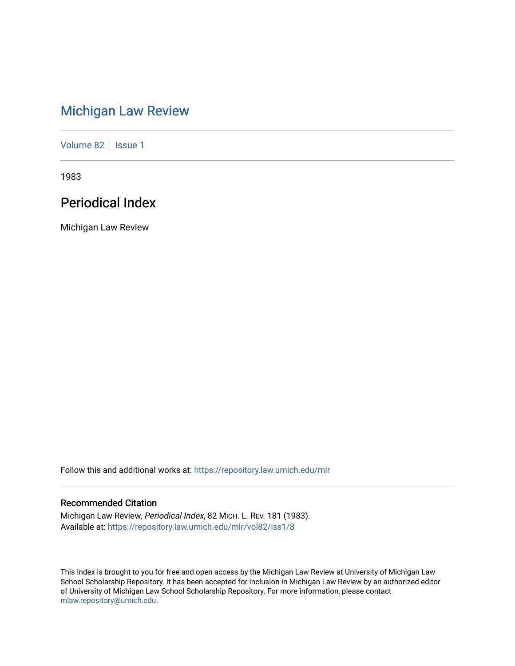# [Michigan Law Review](https://repository.law.umich.edu/mlr)

[Volume 82](https://repository.law.umich.edu/mlr/vol82) | [Issue 1](https://repository.law.umich.edu/mlr/vol82/iss1)

1983

## Periodical Index

Michigan Law Review

Follow this and additional works at: [https://repository.law.umich.edu/mlr](https://repository.law.umich.edu/mlr?utm_source=repository.law.umich.edu%2Fmlr%2Fvol82%2Fiss1%2F8&utm_medium=PDF&utm_campaign=PDFCoverPages) 

## Recommended Citation

Michigan Law Review, Periodical Index, 82 MICH. L. REV. 181 (1983). Available at: [https://repository.law.umich.edu/mlr/vol82/iss1/8](https://repository.law.umich.edu/mlr/vol82/iss1/8?utm_source=repository.law.umich.edu%2Fmlr%2Fvol82%2Fiss1%2F8&utm_medium=PDF&utm_campaign=PDFCoverPages)

This Index is brought to you for free and open access by the Michigan Law Review at University of Michigan Law School Scholarship Repository. It has been accepted for inclusion in Michigan Law Review by an authorized editor of University of Michigan Law School Scholarship Repository. For more information, please contact [mlaw.repository@umich.edu.](mailto:mlaw.repository@umich.edu)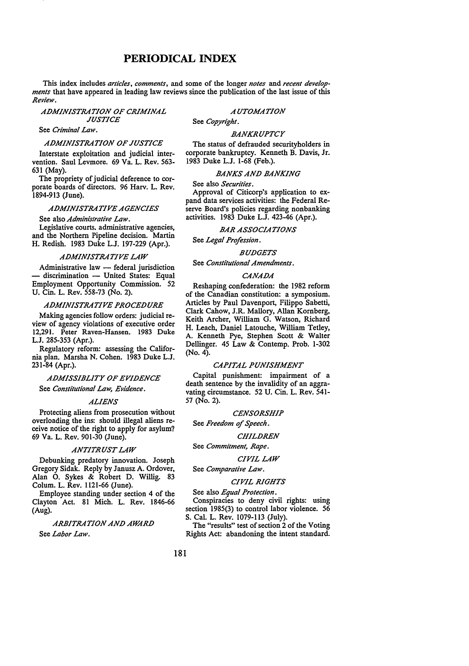## **PERIODICAL INDEX**

This index includes *articles, comments,* and some of the longer *notes* and *recent developments* that have appeared in leading law reviews since the publication of the last issue of this *Review.* 

## *ADMINISTRATION OF CRIMINAL JUSTICE*

See *Criminal Law.* 

#### *ADMINISTRATION OF JUSTICE*

Interstate exploitation and judicial intervention. Saul Levmore. 69 Va. L. Rev. 563- 631 (May).

The propriety of judicial deference to corporate boards of directors. 96 Harv. L. Rev. 1894-913 (June).

## *ADMINISTRATIVE AGENCIES*

See also *Administrative Law.* 

Legislative courts. administrative agencies, and the Northern Pipeline decision. Martin H. Redish. 1983 Duke L.J. 197-229 (Apr.).

#### *ADMINISTRATIVE LAW*

Administrative law  $-$  federal jurisdiction - discrimination - United States: Equal Employment Opportunity Commission. 52 U. Cin. L. Rev. 558-73 (No. 2).

## *ADMINISTRATIVE PROCEDURE*

Making agencies follow orders: judicial review of agency violations of executive order 12,291. Peter Raven-Hansen. 1983 Duke L.J. 285-353 (Apr.).

Regulatory reform: assessing the California plan. Marsha N. Cohen. 1983 Duke L.J. 231-84 (Apr.).

## *ADMISSIBLITY OF EVIDENCE*

See *Constitutional Law, Evidence.* 

#### *ALIENS*

Protecting aliens from prosecution without overloading the ins: should illegal aliens receive notice of the right to apply for asylum? 69 Va. L. Rev. 901-30 (June).

#### *ANTITRUST LAW*

Debunking predatory innovation. Joseph Gregory Sidak. Reply by Janusz A. Ordover, Alan 0. Sykes & Robert D. Willig. 83 Colum. L. Rev. 1121-66 (June).

Employee standing under section 4 of the Clayton Act. 81 Mich. L. Rev. 1846-66 (Aug).

*ARBITRATION AND AWARD*  See *Labor Law.* 

*AUTOMATION* 

## See *Copyright.*

### *BANKRUPTCY*

The status of defrauded securityholders in corporate bankruptcy. Kenneth B. Davis, Jr. 1983 Duke L.J. 1-68 (Feb.).

## *BANKS AND BANKING*

See also *Securities.* 

Approval of Citicorp's application to expand data services activities: the Federal Reserve Board's policies regarding nonbanking activities. 1983 Duke L.J. 423-46 (Apr.).

## *BAR ASSOCIATIONS*

See *Legal Profession.* 

*BUDGETS* 

See *Constitutional Amendments.* 

## *CANA.DA*

Reshaping confederation: the 1982 reform of the Canadian constitution: a symposium. Articles by Paul Davenport, Filippo Sabetti, Clark Cahow, J.R. Mallory, Allan Kornberg, Keith Archer, William G. Watson, Richard H. Leach, Daniel Latouche, William Tetley, A. Kenneth Pye, Stephen Scott & Walter Dellinger. 45 Law & Contemp. Prob. 1-302 (No. 4).

## *CAPITAL PUNISHMENT*

Capital punishment: impairment of a death sentence by the invalidity of an aggravating circumstance. 52 U. Cin. L. Rev. 541- 57 (No. 2).

#### *CENSORSHIP*

See *Freedom* ef *Speech.* 

#### *CHILDREN*

See *Commitment, Rape.* 

## *CIVIL LAW*

See *Comparative Law.* 

#### *CIVIL RIGHTS*

See also *Equal Protection.* 

Conspiracies to deny civil rights: using section 1985(3) to control labor violence. 56 S. Cal. L. Rev. 1079-113 (July).

The "results" test of section 2 of the Voting Rights Act: abandoning the intent standard.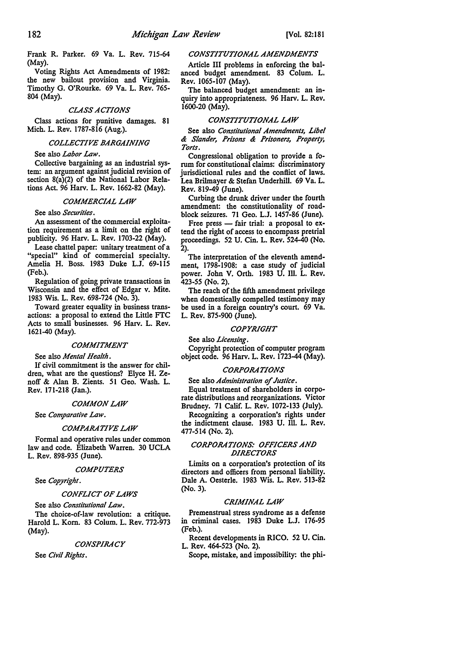Frank R. Parker. 69 Va. L. Rev. 715-64 (May).

Voting Rights Act Amendments of 1982: the new bailout provision and Virginia. Timothy G. O'Rourke. 69 Va. L. Rev. 765- 804 (May).

#### *CLASS ACTIONS*

Class actions for punitive damages. 81 Mich. L. Rev. 1787-816 (Aug.).

### *COLLECTIVE BARGAINING*

See also *Labor Law.* 

Collective bargaining as an industrial system: an argument against judicial revision of section 8(a)(2) of the National Labor Relations Act. 96 Harv. L. Rev. 1662-82 (May).

## *COMMERCIAL LAW*

See also *Securities.* 

An assessment of the commercial exploitation requirement as a limit on the right of publicity. 96 Harv. L. Rev. 1703-22 (May).

Lease chattel paper: unitary treatment of a "special" kind of commercial specialty. Amelia H. Boss. 1983 Duke L.J. 69-115 (Feb.).

Regulation of going private transactions in Wisconsin and the effect of Edgar v. Mite. 1983 Wis. L. Rev. 698-724 (No. 3).

Toward greater equality in business transactions: a proposal to extend the Little FTC Acts to small businesses. 96 Harv. L. Rev. 1621-40 (May).

## *COMMITMENT*

See also *Mental Health.* 

If civil commitment is the answer for children, what are the questions? Elyce H. Zenoff & Alan B. Zients. 51 Geo. Wash. L. Rev. 171-218 (Jan.).

#### *COMMON LAW*

See *Comparative Law.* 

#### *COMPARATIVE LAW*

Formal and operative rules under common law and code. Elizabeth Warren. 30 UCLA L. Rev. 898-935 (June).

#### *COMPUTERS*

See *Copyright.* 

#### *CONFLICT OF LAWS*

See also *Constitutional Law.* 

The choice-of-law revolution: a critique. Harold L. Korn. 83 Colum. L. Rev. 772-973 (May).

#### *CONSPIRACY*

See *Civil Rights.* 

#### *CONSTITUTIONAL AMENIJMENTS*

Article III problems in enforcing the balanced budget amendment. 83 Colum. L. Rev. 1065-107 (May).

The balanced budget amendment: an inquiry into appropriateness. 96 Harv. L. Rev. 1600-20 (May).

#### *CONSTITUTIONAL LAW*

See also *Constitutional Amendments, Libel*  & *Slander, Prisons* & *Prisoners, Properl)~ Torts.* 

Congressional obligation to provide a forum for constitutional claims: discriminatory jurisdictional rules and the conflict of laws. Lea Brilmayer & Stefan Underhill. 69 Va. L. Rev. 819-49 (June).

Curbing the drunk driver under the fourth amendment: the constitutionality of roadblock seizures. 71 Geo. L.J. 1457-86 (June).

Free press  $-$  fair trial: a proposal to extend the right of access to encompass pretrial proceedings. 52 U. Cin. L. Rev. 524-40 (No. 2).

The interpretation of the eleventh amendment, 1798-1908: a case study of judicial power. John V. Orth. 1983 U. Ill. L. Rev, 423-55 (No. 2).

The reach of the fifth amendment privilege when domestically compelled testimony may be used in a foreign country's court. 69 Va. L. Rev. 875-900 (June).

#### *COPYRIGHT*

See also *Licensing.* 

Copyright protection of computer program object code. 96 Harv. L. Rev. 1723-44 (May).

#### *CORPORATIONS*

See also *Administration of Justice.* 

Equal treatment of shareholders in corporate distributions and reorganizations. Victor Brudney. 71 Calif. L. Rev. 1072-133 (July).

Recognizing a corporation's rights under the indictment clause. 1983 U. Ill. L. Rev, 477-514 (No. 2).

## *CORPORATIONS: OFFICERS ANIJ IJIRECTORS*

Limits on a corporation's protection of its directors and officers from personal liability. Dale A. Oesterle. 1983 Wis. L. Rev. 513-82 (No. 3).

## *CRIMINAL LAW*

Premenstrual stress syndrome as a defense in criminal cases. 1983 Duke L.J. 176-95 (Feb.).

Recent developments in RICO. 52 U. Cin. L. Rev. 464-523 (No. 2).

Scope, mistake, and impossibility: the phi-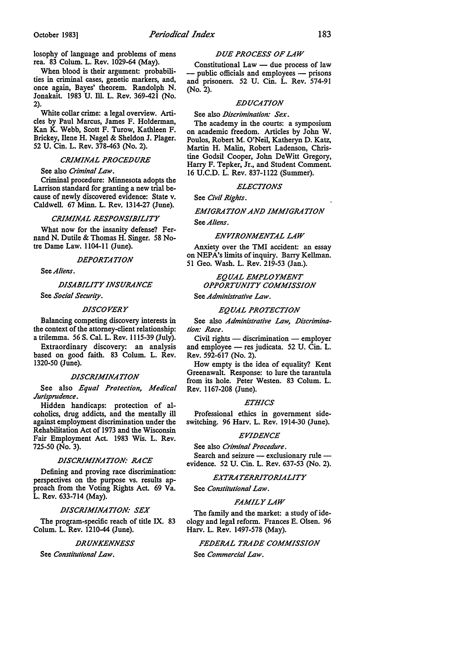losophy of language and problems of mens rea. 83 Colum. L. Rev. 1029-64 (May).

When blood is their argument: probabilities in criminal cases, genetic markers, and, once again, Bayes' theorem. Randolph N. Jonakait. 1983 U. Ill. L. Rev. 369-421 (No. 2).

White collar crime: a legal overview. Articles by Paul Marcus, James F. Holderman, Kan K. Webb, Scott F. Turow, Kathleen F. Brickey, Ilene H. Nagel & Sheldon J. Plager. 52 U. Cin. L. Rev. 378-463 (No. 2).

## *CRIMINAL PROCEDURE*

See also *Criminal Law.* 

Criminal procedure: Minnesota adopts the Larrison standard for granting a new trial because of newly discovered evidence: State v. Caldwell. 67 Minn. L. Rev. 1314-27 (June).

## *CRIMINAL RESPONSIJJILITY*

What now for the insanity defense? Fernand N. Dutile & Thomas H. Singer. 58 Notre Dame Law. 1104-11 (June).

#### *DEPORTATION*

See *Aliens.* 

#### *DISAJJILITY INSURANCE*

See *Social Security.* 

## *DISCOVERY*

Balancing competing discovery interests in the context of the attorney-client relationship: a trile=a. 56 S. Cal. L. **Rev.** 1115-39 (July).

Extraordinary discovery: an analysis based on good faith. 83 Colum. L. **Rev.**  1320-50 (June).

## *DISCRIMINATION*

See also *Equal Protection, Medical Jurisprudence.* 

Hidden handicaps: protection of alcoholics, drug addicts, and the mentally ill against employment discrimination under the Rehabilitation Act of 1973 and the Wisconsin Fair Employment Act. 1983 Wis. L. Rev. 725-50 (No. 3).

## *DISCRIMINATION: RACE*

Defining and proving race discrimination: perspectives on the purpose vs. results approach from the Voting Rights Act. 69 Va. L. Rev. 633-714 (May).

#### *DISCRIMINATION: SEX*

The program-specific reach of title IX. 83 Colum. L. Rev. 1210-44 (June).

#### *DRUNKENNESS*

See *Constitutional Law.* 

## *DUE PROCESS OF LAW*

Constitutional  $Law$  — due process of law - public officials and employees - prisons and prisoners. 52 U. Cin. L. Rev. 574-91 (No. 2).

## *EDUCATION*

## See also *Discrimination: Sex.*

The academy in the courts: a symposium on academic freedom. Articles by John W. Poulos, Robert M. O'Neil, Katheryn D. Katz, Martin H. Malin, Robert Ladenson, Christine Godsil Cooper, John DeWitt Gregory, Harry F. Tepker, Jr., and Student Comment. 16 U.C.D. L. Rev. 837-1122 (Summer).

### *ELECTIONS*

See *Civil Rights.* 

## *EMIGRATION AND IMMIGRATION*  See *Aliens.*

#### *ENVIRONMENTAL LAW*

Anxiety over the TMI accident: an essay on NEPA's limits of inquiry. Barry Kellman. 51 Geo. Wash. L. Rev. 219-53 (Jan.).

## *EQUAL EMPLOYMENT OPPORTUNITY COMMISSION*

See *Administrative Law.* 

#### *EQUAL PROTECTION*

See also *Administrative Law, Discrimination: Race.* 

 $Civil$  rights  $-$  discrimination  $-$  employer and employee - res judicata. 52 U. Cin. L. Rev. 592-617 (No. 2).

How empty is the idea of equality? Kent Greenawalt. Response: to lure the tarantula from its hole. Peter Westen. 83 Colum. L. Rev. 1167-208 (June).

#### *ETHICS*

Professional ethics in government sideswitching. 96 Harv. L. Rev. 1914-30 (June).

#### *EVIDENCE*

See also *Criminal Procedure.*  Search and seizure - exclusionary rule evidence. 52 U. Cin. L. Rev. 637-53 (No. 2).

#### *EXTRATERRITORIALITY*

See *Constitutional Law.* 

#### *FAMILY LAW*

The family and the market: a study of ideology and legal reform. Frances E. Olsen. 96 Harv. L. Rev. 1497-578 (May).

## *FEDERAL TRADE COMMISSION*  See *Commercial Law.*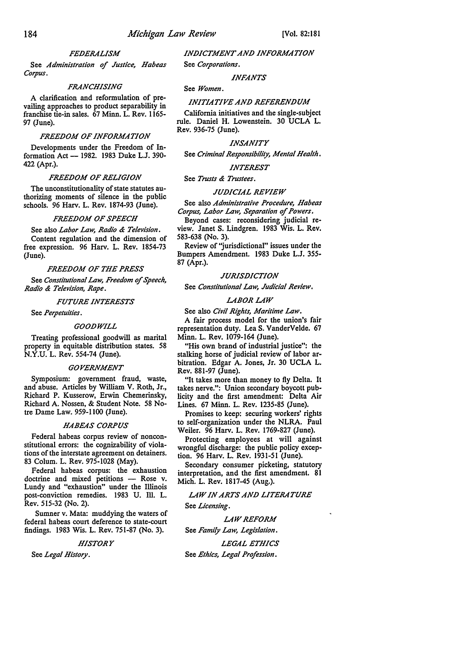## *FEDERALISM*

See *Administration of Justice, Habeas Corpus.* 

#### *FRANCHISING*

A clarification and reformulation of prevailing approaches to product separability in franchise tie-in sales. 67 Minn. L. Rev. 1165- 97 (June).

## *FREEDOM OF INFORMATION*

Developments under the Freedom of Information Act - 1982. 1983 Duke L.J. 390-422 (Apr.).

#### *FREEDOM OF RELIGION*

The unconstitutionality of state statutes authorizing moments of silence in the public schools. 96 Harv. L. Rev. 1874-93 (June).

## *FREEDOM OF SPEECH*

See also *Labor Law, Radio & Television.*  Content regulation and the dimension of free expression. 96 Harv. L. Rev. 1854-73 (June).

#### *FREEDOM OF THE PRESS*

See *Constitutional Law, Freedom* of *Speech, Radio & Television, Rape.* 

#### *FUTURE INTERESTS*

See *Perpetuities.* 

## *GOODWILL*

Treating professional goodwill as marital property in equitable distribution states. 58 N.Y.U. L. Rev. 554-74 (June).

#### *GOVERNMENT*

Symposium: government fraud, waste, and abuse. Articles by William V. Roth, Jr., Richard P. Kusserow, Erwin Chemerinsky, Richard A. Nossen, & Student Note. 58 Notre Dame Law. 959-1100 (June).

#### *HABEAS CORPUS*

Federal habeas corpus review of nonconstitutional errors: the cognizability of violations of the interstate agreement on detainers. 83 Colum. L. Rev. 975-1028 (May).

Federal habeas corpus: the exhaustion doctrine and mixed petitions - Rose v. Lundy and "exhaustion" under the Illinois post-conviction remedies. 1983 U. Ill. L. Rev. 515-32 (No. 2).

Sumner v. Mata: muddying the waters of federal habeas court deference to state-court findings. 1983 Wis. L. Rev. 751-87 (No. 3).

#### *HISTORY*

See *Legal History.* 

*INDICTMENT AND INFORMATION*  See *Corporations.* 

#### *INFANTS*

#### See *Women.*

#### *INITIATIVE AND REFERENDUM*

California initiatives and the single-subject rule. Daniel H. Lowenstein. 30 UCLA L. Rev. 936-75 (June).

#### *INSANITY*

See *Criminal Responsibility, Mental Health.* 

## *INTEREST*

See *Trusts & Trustees.* 

#### *JUDICIAL REVIEW*

See also *Administrative Procedure, Habeas Corpus, Labor Law, Separation* of *Powers.* 

Beyond cases: reconsidering judicial review. Janet S. Lindgren. 1983 Wis. L. Rev. 583-638 (No. 3).

Review of "jurisdictional" issues under the Bumpers Amendment. 1983 Duke L.J. 355- 87 (Apr.).

#### *JURISDICTION*

See *Constitutional Law, Judicial Review,* 

### *LABOR LAW*

See also *Civil Rights, Maritime Law.* 

A fair process model for the union's fair representation duty. Lea S. VanderVelde. 67 Minn. L. Rev. 1079-164 (June).

"His own brand of industrial justice": the stalking horse of judicial review of labor arbitration. Edgar A. Jones, Jr. 30 UCLA L. Rev. 881-97 (June).

"It takes more than money to fly Delta. It takes nerve.": Union secondary boycott publicity and the first amendment: Delta Air Lines. 67 Minn. L. Rev. 1235-85 (June).

Promises to keep: securing workers' rights to self-organization under the NLRA. Paul Weiler. 96 Harv. L. Rev. 1769-827 (June).

Protecting employees at will against wrongful discharge: the public policy exception. 96 Harv. L. Rev. 1931-51 (June).

Secondary consumer picketing, statutory interpretation, and the first amendment. 81 Mich. L. Rev. 1817-45 (Aug.).

*LAW IN ARTS AND LITERATURE* 

See *Licensing.* 

*LAW REFORM*  See *Family Law, Legislation.* 

*LEGAL ETHICS*  See *Ethics, Legal Profession.*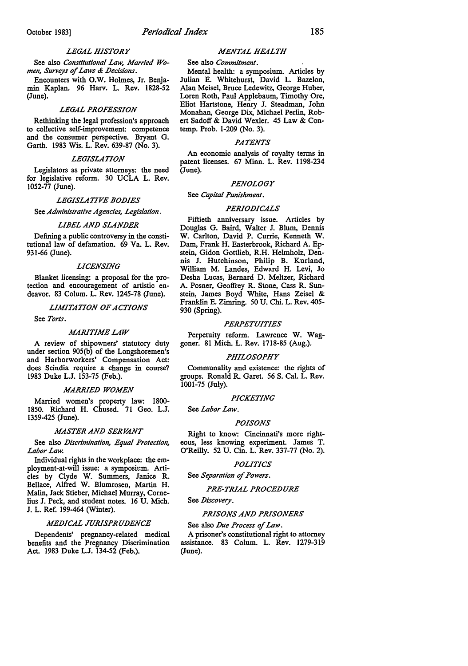## October 1983] *Periodical Index* 185

#### *LEGAL HISTORY*

See also *Constitutional Law, Married Wo*men, Surveys of Laws & Decisions.

Encounters with O.W. Holmes, Jr. Benjamin Kaplan. 96 Harv. L. Rev. 1828-52 (June).

#### *LEGAL PROFESSION*

Rethinking the legal profession's approach to collective self-improvement: competence and the consumer perspective. Bryant G. Garth. 1983 Wis. L. Rev. 639-87 (No. 3).

## *LEGISLATION*

Legislators as private attorneys: the need for legislative reform. 30 UCLA L. Rev. 1052-77 (June).

#### *LEGISLATIVE BO.DIES*

See *Administrative Agencies, Legislation.* 

#### **LIBEL AND SLANDER**

Defining a public controversy in the constitutional law of defamation. 69 Va. L. Rev. 931-66 (June).

#### *LICENSING*

Blanket licensing: a proposal for the protection and encouragement of artistic endeavor. 83 Colum. L. Rev. 1245-78 (June).

*LIMITATION OF ACTIONS* 

See *Torts.* 

#### *MARITIME LAW*

A review of shipowners' statutory duty under section 905(b) of the Longshoremen's and Harborworkers' Compensation Act: does Scindia require a change in course? 1983 Duke L.J. 153-75 (Feb.).

#### **MARRIED WOMEN**

Married women's property law: 1800- 1850. Richard H. Chused. 71 Geo. L.J. 1359-425 (June).

#### **MASTER AND SERVANT**

See also *Discrimination, Equal Protection*, *Labor Law.* 

Individual rights in the workplace: the employment-at-will issue: a symposit:m. Articles by Clyde W. Summers, Janice R. Bellace, Alfred W. Blumrosen, Martin H. Malin, Jack Stieber, Michael Murray, Cornelius J. Peck, and student notes. 16 U. Mich. J. L. Ref. 199-464 (Winter).

#### *MEDICAL JURISPRUDENCE*

Dependents' pregnancy-related medical benefits and the Pregnancy Discrimination Act. 1983 Duke L.J. 134-52 (Feb.).

#### *MENTAL HEALTH*

## See also *Commitment.*

Mental health: a symposium. Articles by Julian E. Whitehurst, David L. Bazelon, Alan Meisel, Bruce Ledewitz, George Huber, Loren Roth, Paul Applebaum, Timothy Ore, Eliot Hartstone, Henry J. Steadman, John Monahan, George Dix, Michael Perlin, Robert Sadoff & David Wexler. 45 Law & Contemp. Prob. 1-209 (No. 3).

#### *PATENTS*

An economic analysis of royalty terms in patent licenses. 67 Minn. L. Rev. 1198-234 (June).

#### *PENOLOGY*

#### See *Capital Punishment.*

#### *PERIO.DICALS*

Fiftieth anniversary issue. Articles by Douglas G. Baird, Walter J. Blum, Dennis W. Carlton, David P. Currie, Kenneth W. Dam, Frank H. Easterbrook, Richard A. Epstein, Gidon Gottlieb, R.H. Helrnholz, Dennis J. Hutchinson, Philip B. Kurland, William **M.** Landes, Edward H. Levi, Jo Desha Lucas, Bernard D. Meltzer, Richard A. Posner, Geoffrey R. Stone, Cass R. Sunstein, James Boyd White, Hans Zeisel & Franklin E. Zimring. SOU. Chi. L. Rev. 405- 930 (Spring).

#### *PERPETUITIES*

Perpetuity reform. Lawrence W. Waggoner. 81 Mich. L. Rev. 1718-85 (Aug.).

#### *PHILOSOPHY*

Communality and existence: the rights of groups. Ronald R. Garet. 56 S. Cal. L. Rev. 1001-75 (July).

## *PICKETING*

See *Labor Law.* 

#### *POISONS*

Right to know: Cincinnati's more righteous, less knowing experiment. James T. O'Reilly. 52 U. Cin. L. Rev. 337-77 (No. 2).

#### *POLITICS*

See *Separation of Powers.* 

#### **PRE-TRIAL PROCEDURE**

#### See *Discovery*.

#### **PRISONS AND PRISONERS**

## See also *Due Process of Law*. A prisoner's constitutional right to attorney

assistance. 83 Colum. L. Rev. 1279-319 (June).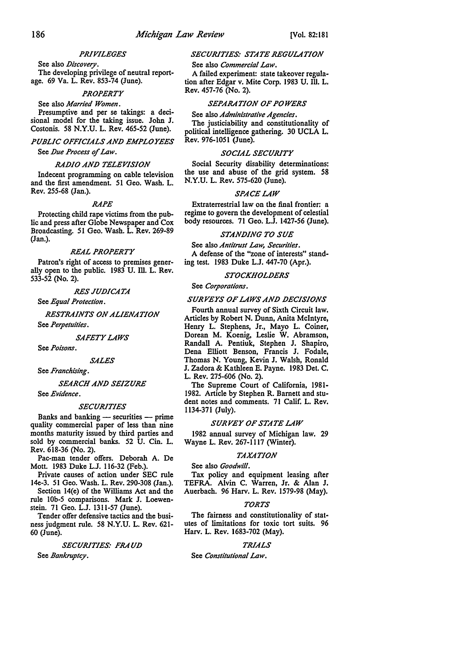## *PRIVILEGES*

See also *Discovery.*  The developing privilege of neutral reportage. 69 Va. L. Rev. 853-74 (June).

*PROPERTY* 

See also *Married Women.*  Presumptive and per se takings: a decisional model for the taking issue. John J. Costonis. 58 N.Y.U. L. Rev. 465-52 (June).

*PUBLIC OFFICIALS AND EMPLOYEES*  See *Due Process of Law.* 

## *RADIO AND TELEVISION*

Indecent programming on cable television and the first amendment. 51 Geo. Wash. L. Rev. 255-68 (Jan.).

#### *RAPE*

Protecting child rape victims from the public and press after Globe Newspaper and Cox Broadcasting. 51 Geo. Wash. L. Rev. 269-89 (Jan.).

#### *REAL PROPERTY*

Patron's right of access to premises generally open to the public. 1983 U. Ill. L. Rev. 533-52 (No. 2).

*RES JUDICATA* 

See *Equal Protection.* 

*RESTRAINTS ON ALIENATION*  See *Perpetuities.* 

*SAFETY LAWS* 

See *Poisons.* 

*SALES* 

See *Franchising.* 

#### *SEARCH AND SEIZURE*

See *Evidence.* 

## *SECURITIES*

Banks and banking  $-$  securities  $-$  prime quality commercial paper of less than nine months maturity issued by third parties and sold by commercial banks. 52 U. Cin. L. Rev. 618-36 (No. 2).

Pac-man tender offers. Deborah A. De Mott. 1983 Duke L.J. 116-32 (Feb.).

Private causes of action under SEC rule 14e-3. 51 Geo. Wash. L. Rev. 290-308 (Jan.).

Section 14(e) of the Williams Act and the rule lOb-5 comparisons. Mark J. Loewenstein. 71 Geo. L.J. 1311-57 (June).

Tender offer defensive tactics and the business judgment rule. 58 N.Y.U. L. Rev. 621- 60 (June).

## *SECURITIES: FRAUD*

See *Bankruptcy.* 

## *SECURITIES: STATE REGULATION*  See also *Commercial Law.*

A failed experiment: state takeover regulation after Edgar v. Mite Corp. 1983 U. Ill. L. Rev. 457-76 (No. 2).

## *SEPARATION OF POWERS*

See also *Administrative Agencies.* 

The justiciability and constitutionality of political intelligence gathering. 30 UCLA L. Rev. 976-1051 (June).

## *SOCIAL SECURITY*

Social Security disability determinations: the use and abuse of the grid system. 58 N.Y.U. L. Rev. 575-620 (June),

## *SPACE LAW*

Extraterrestrial law on the final frontier: a regime to govern the development of celestial body resources. 71 Geo. L.J. 1427-56 (June).

## *STANDING TO SUE*

See also *Antitrust Law, Securities.*  A defense of the "zone of interests" standing test. 1983 Duke L.J. 447-70 (Apr.).

## *STOCKHOLDERS*

See *Corporations.* 

#### *SURVEYS OF LAWS AND DECISIONS*

Fourth annual survey of Sixth Circuit law. Articles by Robert N. Dunn, Anita McIntyre, Henry L. Stephens, Jr., Mayo L. Coiner, Dorean M. Koenig, Leslie W. Abramson, Randall A. Pentiuk, Stephen J. Shapiro, Dena Elliott Benson, Francis J. Fodale, Thomas N. Young, Kevin J. Walsh, Ronald J. Zadora & Kathleen E. Payne. 1983 Det. C. L. Rev. 275-606 (No. 2).

The Supreme Court of California, 1981- 1982. Article by Stephen R. Barnett and student notes and comments. 71 Calif. L. Rev. 1134-371 (July).

## *SURVEY OF STATE LAW*

1982 annual survey of Michigan law. 29 Wayne L. Rev. 267-1117 (Winter).

#### *TAXATION*

See also *Goodwill.* 

Tax policy and equipment leasing after TEFRA. Alvin C. Warren, Jr. & Alan J. Auerbach. 96 Harv. L. Rev. 1579-98 (May).

#### *TORTS*

The fairness and constitutionality of statutes of limitations for toxic tort suits. 96 Harv. L. Rev. 1683-702 (May).

## *TRIALS*

See *Constitutional Law.*